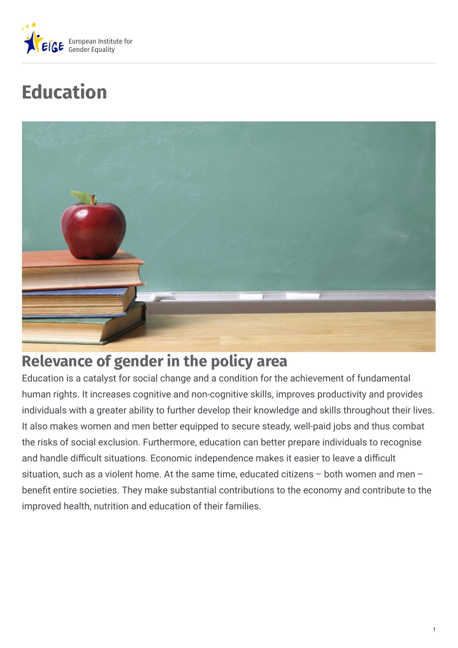

# **Education**



# **Relevance of gender in the policy area**

Education is a catalyst for social change and a condition for the achievement of fundamental human rights. It increases cognitive and non-cognitive skills, improves productivity and provides individuals with a greater ability to further develop their knowledge and skills throughout their lives. It also makes women and men better equipped to secure steady, well-paid jobs and thus combat the risks of social exclusion. Furthermore, education can better prepare individuals to recognise and handle difficult situations. Economic independence makes it easier to leave a difficult situation, such as a violent home. At the same time, educated citizens – both women and men – benefit entire societies. They make substantial contributions to the economy and contribute to the improved health, nutrition and education of their families.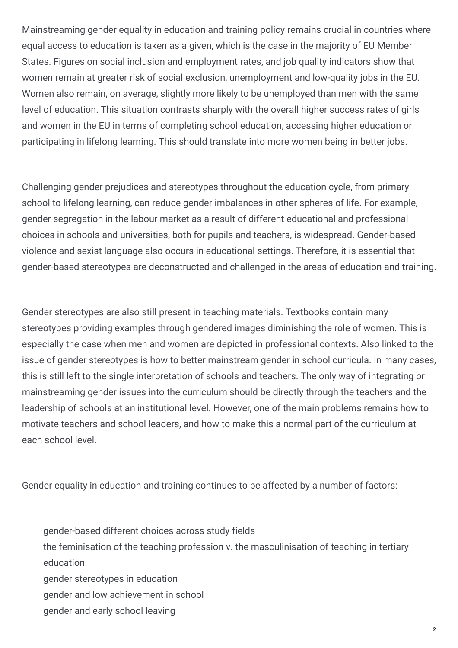Mainstreaming gender equality in education and training policy remains crucial in countries where equal access to education is taken as a given, which is the case in the majority of EU Member States. Figures on social inclusion and employment rates, and job quality indicators show that women remain at greater risk of social exclusion, unemployment and low-quality jobs in the EU. Women also remain, on average, slightly more likely to be unemployed than men with the same level of education. This situation contrasts sharply with the overall higher success rates of girls and women in the EU in terms of completing school education, accessing higher education or participating in lifelong learning. This should translate into more women being in better jobs.

Challenging gender prejudices and stereotypes throughout the education cycle, from primary school to lifelong learning, can reduce gender imbalances in other spheres of life. For example, gender segregation in the labour market as a result of different educational and professional choices in schools and universities, both for pupils and teachers, is widespread. Gender-based violence and sexist language also occurs in educational settings. Therefore, it is essential that gender-based stereotypes are deconstructed and challenged in the areas of education and training.

Gender stereotypes are also still present in teaching materials. Textbooks contain many stereotypes providing examples through gendered images diminishing the role of women. This is especially the case when men and women are depicted in professional contexts. Also linked to the issue of gender stereotypes is how to better mainstream gender in school curricula. In many cases, this is still left to the single interpretation of schools and teachers. The only way of integrating or mainstreaming gender issues into the curriculum should be directly through the teachers and the leadership of schools at an institutional level. However, one of the main problems remains how to motivate teachers and school leaders, and how to make this a normal part of the curriculum at each school level.

Gender equality in education and training continues to be affected by a number of factors:

- gender-based different choices across study fields
- the feminisation of the teaching profession v. the masculinisation of teaching in tertiary education
- gender stereotypes in education
- gender and low achievement in school
- gender and early school leaving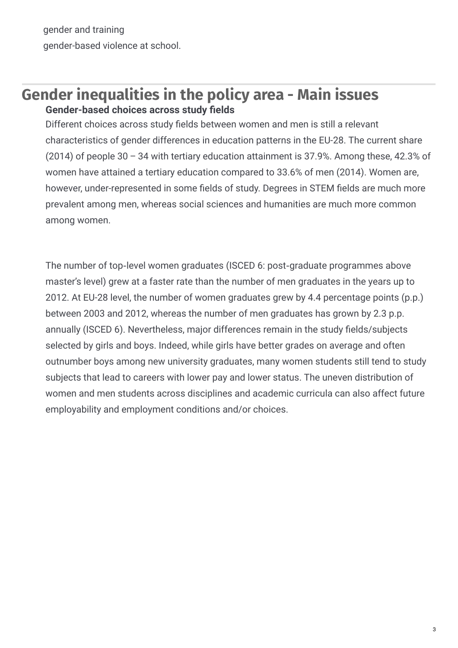gender and training gender-based violence at school.

## **Gender inequalities in the policy area - Main issues Gender-based choices across study fields**

Different choices across study fields between women and men is still a relevant characteristics of gender differences in education patterns in the EU-28. The current share (2014) of people 30 – 34 with tertiary education attainment is 37.9%. Among these, 42.3% of women have attained a tertiary education compared to 33.6% of men (2014). Women are, however, under-represented in some fields of study. Degrees in STEM fields are much more prevalent among men, whereas social sciences and humanities are much more common among women.

The number of top-level women graduates (ISCED 6: post-graduate programmes above master's level) grew at a faster rate than the number of men graduates in the years up to 2012. At EU-28 level, the number of women graduates grew by 4.4 percentage points (p.p.) between 2003 and 2012, whereas the number of men graduates has grown by 2.3 p.p. annually (ISCED 6). Nevertheless, major differences remain in the study fields/subjects selected by girls and boys. Indeed, while girls have better grades on average and often outnumber boys among new university graduates, many women students still tend to study subjects that lead to careers with lower pay and lower status. The uneven distribution of women and men students across disciplines and academic curricula can also affect future employability and employment conditions and/or choices.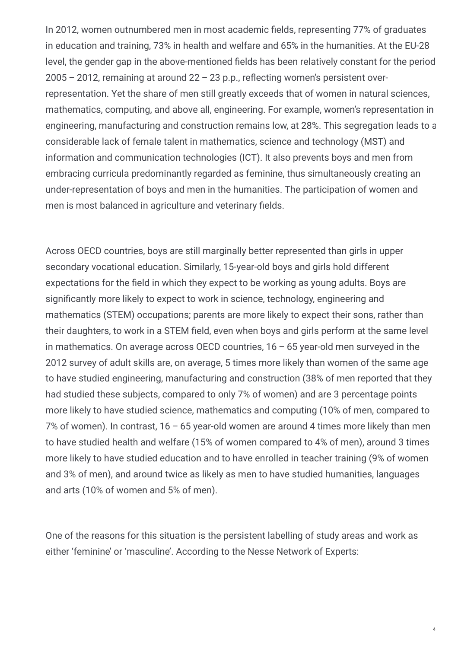In 2012, women outnumbered men in most academic fields, representing 77% of graduates in education and training, 73% in health and welfare and 65% in the humanities. At the EU-28 level, the gender gap in the above-mentioned fields has been relatively constant for the period  $2005 - 2012$ , remaining at around  $22 - 23$  p.p., reflecting women's persistent overrepresentation. Yet the share of men still greatly exceeds that of women in natural sciences, mathematics, computing, and above all, engineering. For example, women's representation in engineering, manufacturing and construction remains low, at 28%. This segregation leads to a considerable lack of female talent in mathematics, science and technology (MST) and information and communication technologies (ICT). It also prevents boys and men from embracing curricula predominantly regarded as feminine, thus simultaneously creating an under-representation of boys and men in the humanities. The participation of women and men is most balanced in agriculture and veterinary fields.

Across OECD countries, boys are still marginally better represented than girls in upper secondary vocational education. Similarly, 15-year-old boys and girls hold different expectations for the field in which they expect to be working as young adults. Boys are significantly more likely to expect to work in science, technology, engineering and mathematics (STEM) occupations; parents are more likely to expect their sons, rather than their daughters, to work in a STEM field, even when boys and girls perform at the same level in mathematics. On average across OECD countries,  $16 - 65$  year-old men surveyed in the 2012 survey of adult skills are, on average, 5 times more likely than women of the same age to have studied engineering, manufacturing and construction (38% of men reported that they had studied these subjects, compared to only 7% of women) and are 3 percentage points more likely to have studied science, mathematics and computing (10% of men, compared to 7% of women). In contrast, 16 – 65 year-old women are around 4 times more likely than men to have studied health and welfare (15% of women compared to 4% of men), around 3 times more likely to have studied education and to have enrolled in teacher training (9% of women and 3% of men), and around twice as likely as men to have studied humanities, languages and arts (10% of women and 5% of men).

One of the reasons for this situation is the persistent labelling of study areas and work as either 'feminine' or 'masculine'. According to the Nesse Network of Experts: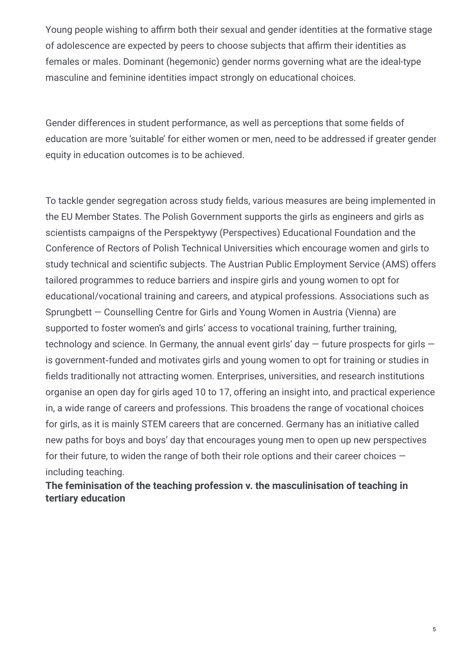Young people wishing to affirm both their sexual and gender identities at the formative stage of adolescence are expected by peers to choose subjects that affirm their identities as females or males. Dominant (hegemonic) gender norms governing what are the ideal-type masculine and feminine identities impact strongly on educational choices.

Gender differences in student performance, as well as perceptions that some fields of education are more 'suitable' for either women or men, need to be addressed if greater gender equity in education outcomes is to be achieved.

To tackle gender segregation across study fields, various measures are being implemented in the EU Member States. The Polish Government supports the girls as engineers and girls as scientists campaigns of the Perspektywy (Perspectives) Educational Foundation and the Conference of Rectors of Polish Technical Universities which encourage women and girls to study technical and scientific subjects. The Austrian Public Employment Service (AMS) offers tailored programmes to reduce barriers and inspire girls and young women to opt for educational/vocational training and careers, and atypical professions. Associations such as Sprungbett — Counselling Centre for Girls and Young Women in Austria (Vienna) are supported to foster women's and girls' access to vocational training, further training, technology and science. In Germany, the annual event girls' day  $-$  future prospects for girls  $$ is government-funded and motivates girls and young women to opt for training or studies in fields traditionally not attracting women. Enterprises, universities, and research institutions organise an open day for girls aged 10 to 17, offering an insight into, and practical experience in, a wide range of careers and professions. This broadens the range of vocational choices for girls, as it is mainly STEM careers that are concerned. Germany has an initiative called new paths for boys and boys' day that encourages young men to open up new perspectives for their future, to widen the range of both their role options and their career choices including teaching.

**The feminisation of the teaching profession v. the masculinisation of teaching in tertiary education**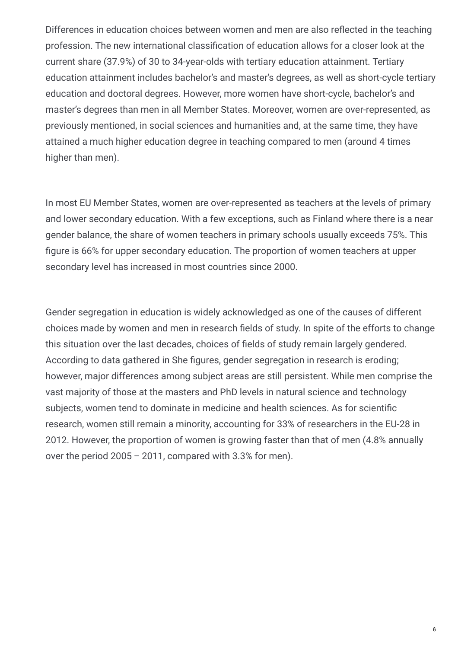Differences in education choices between women and men are also reflected in the teaching profession. The new international classification of education allows for a closer look at the current share (37.9%) of 30 to 34-year-olds with tertiary education attainment. Tertiary education attainment includes bachelor's and master's degrees, as well as short-cycle tertiary education and doctoral degrees. However, more women have short-cycle, bachelor's and master's degrees than men in all Member States. Moreover, women are over-represented, as previously mentioned, in social sciences and humanities and, at the same time, they have attained a much higher education degree in teaching compared to men (around 4 times higher than men).

In most EU Member States, women are over-represented as teachers at the levels of primary and lower secondary education. With a few exceptions, such as Finland where there is a near gender balance, the share of women teachers in primary schools usually exceeds 75%. This figure is 66% for upper secondary education. The proportion of women teachers at upper secondary level has increased in most countries since 2000.

Gender segregation in education is widely acknowledged as one of the causes of different choices made by women and men in research fields of study. In spite of the efforts to change this situation over the last decades, choices of fields of study remain largely gendered. According to data gathered in She figures, gender segregation in research is eroding; however, major differences among subject areas are still persistent. While men comprise the vast majority of those at the masters and PhD levels in natural science and technology subjects, women tend to dominate in medicine and health sciences. As for scientific research, women still remain a minority, accounting for 33% of researchers in the EU-28 in 2012. However, the proportion of women is growing faster than that of men (4.8% annually over the period 2005 – 2011, compared with 3.3% for men).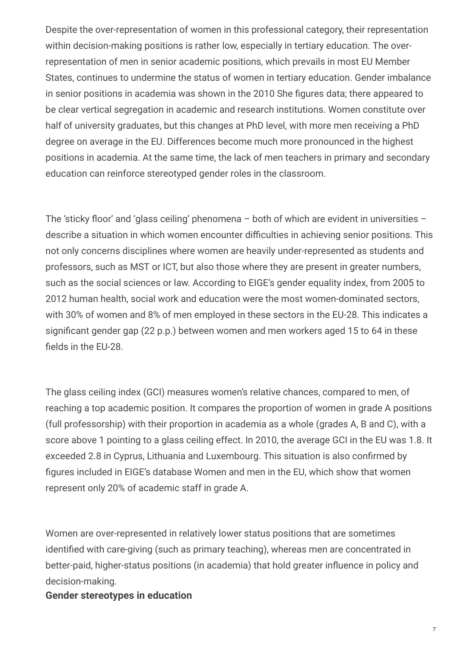Despite the over-representation of women in this professional category, their representation within decision-making positions is rather low, especially in tertiary education. The overrepresentation of men in senior academic positions, which prevails in most EU Member States, continues to undermine the status of women in tertiary education. Gender imbalance in senior positions in academia was shown in the 2010 She figures data; there appeared to be clear vertical segregation in academic and research institutions. Women constitute over half of university graduates, but this changes at PhD level, with more men receiving a PhD degree on average in the EU. Differences become much more pronounced in the highest positions in academia. At the same time, the lack of men teachers in primary and secondary education can reinforce stereotyped gender roles in the classroom.

The 'sticky floor' and 'glass ceiling' phenomena – both of which are evident in universities – describe a situation in which women encounter difficulties in achieving senior positions. This not only concerns disciplines where women are heavily under-represented as students and professors, such as MST or ICT, but also those where they are present in greater numbers, such as the social sciences or law. According to EIGE's gender equality index, from 2005 to 2012 human health, social work and education were the most women-dominated sectors, with 30% of women and 8% of men employed in these sectors in the EU-28. This indicates a significant gender gap (22 p.p.) between women and men workers aged 15 to 64 in these fields in the EU-28.

The glass ceiling index (GCI) measures women's relative chances, compared to men, of reaching a top academic position. It compares the proportion of women in grade A positions (full professorship) with their proportion in academia as a whole (grades A, B and C), with a score above 1 pointing to a glass ceiling effect. In 2010, the average GCI in the EU was 1.8. It exceeded 2.8 in Cyprus, Lithuania and Luxembourg. This situation is also confirmed by figures included in EIGE's database Women and men in the EU, which show that women represent only 20% of academic staff in grade A.

Women are over-represented in relatively lower status positions that are sometimes identified with care-giving (such as primary teaching), whereas men are concentrated in better-paid, higher-status positions (in academia) that hold greater influence in policy and decision-making.

#### **Gender stereotypes in education**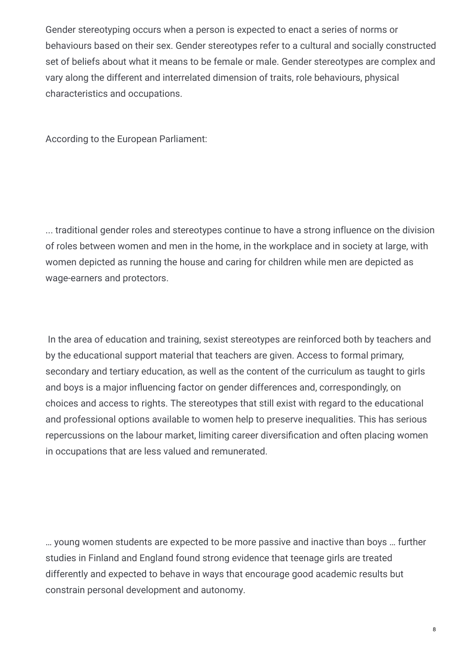Gender stereotyping occurs when a person is expected to enact a series of norms or behaviours based on their sex. Gender stereotypes refer to a cultural and socially constructed set of beliefs about what it means to be female or male. Gender stereotypes are complex and vary along the different and interrelated dimension of traits, role behaviours, physical characteristics and occupations.

According to the European Parliament:

... traditional gender roles and stereotypes continue to have a strong influence on the division of roles between women and men in the home, in the workplace and in society at large, with women depicted as running the house and caring for children while men are depicted as wage-earners and protectors.

In the area of education and training, sexist stereotypes are reinforced both by teachers and by the educational support material that teachers are given. Access to formal primary, secondary and tertiary education, as well as the content of the curriculum as taught to girls and boys is a major influencing factor on gender differences and, correspondingly, on choices and access to rights. The stereotypes that still exist with regard to the educational and professional options available to women help to preserve inequalities. This has serious repercussions on the labour market, limiting career diversification and often placing women in occupations that are less valued and remunerated.

… young women students are expected to be more passive and inactive than boys … further studies in Finland and England found strong evidence that teenage girls are treated differently and expected to behave in ways that encourage good academic results but constrain personal development and autonomy.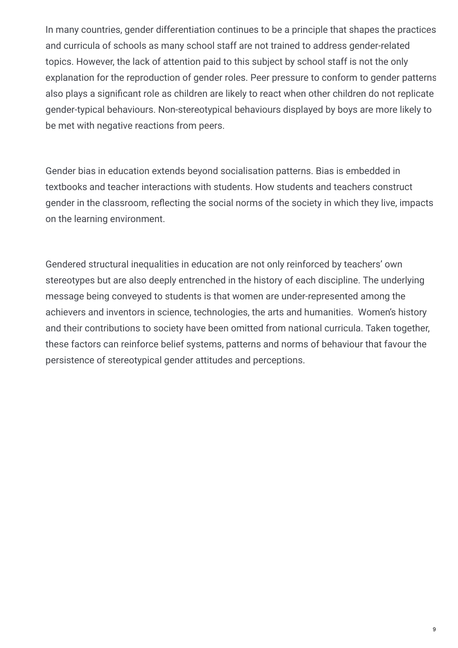In many countries, gender differentiation continues to be a principle that shapes the practices and curricula of schools as many school staff are not trained to address gender-related topics. However, the lack of attention paid to this subject by school staff is not the only explanation for the reproduction of gender roles. Peer pressure to conform to gender patterns also plays a significant role as children are likely to react when other children do not replicate gender-typical behaviours. Non-stereotypical behaviours displayed by boys are more likely to be met with negative reactions from peers.

Gender bias in education extends beyond socialisation patterns. Bias is embedded in textbooks and teacher interactions with students. How students and teachers construct gender in the classroom, reflecting the social norms of the society in which they live, impacts on the learning environment.

Gendered structural inequalities in education are not only reinforced by teachers' own stereotypes but are also deeply entrenched in the history of each discipline. The underlying message being conveyed to students is that women are under-represented among the achievers and inventors in science, technologies, the arts and humanities. Women's history and their contributions to society have been omitted from national curricula. Taken together, these factors can reinforce belief systems, patterns and norms of behaviour that favour the persistence of stereotypical gender attitudes and perceptions.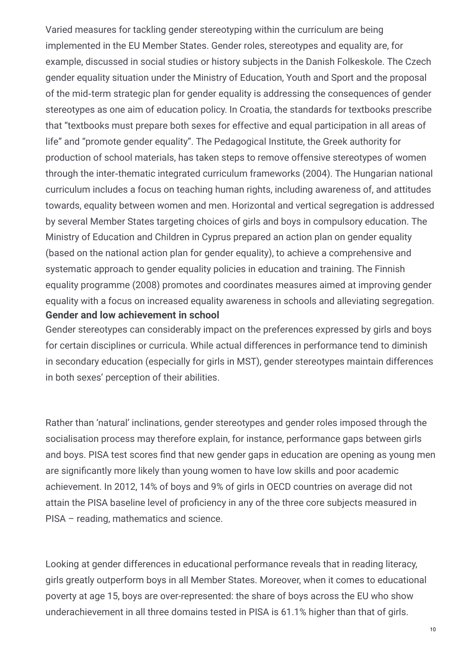Varied measures for tackling gender stereotyping within the curriculum are being implemented in the EU Member States. Gender roles, stereotypes and equality are, for example, discussed in social studies or history subjects in the Danish Folkeskole. The Czech gender equality situation under the Ministry of Education, Youth and Sport and the proposal of the mid-term strategic plan for gender equality is addressing the consequences of gender stereotypes as one aim of education policy. In Croatia, the standards for textbooks prescribe that "textbooks must prepare both sexes for effective and equal participation in all areas of life" and "promote gender equality". The Pedagogical Institute, the Greek authority for production of school materials, has taken steps to remove offensive stereotypes of women through the inter‑thematic integrated curriculum frameworks (2004). The Hungarian national curriculum includes a focus on teaching human rights, including awareness of, and attitudes towards, equality between women and men. Horizontal and vertical segregation is addressed by several Member States targeting choices of girls and boys in compulsory education. The Ministry of Education and Children in Cyprus prepared an action plan on gender equality (based on the national action plan for gender equality), to achieve a comprehensive and systematic approach to gender equality policies in education and training. The Finnish equality programme (2008) promotes and coordinates measures aimed at improving gender equality with a focus on increased equality awareness in schools and alleviating segregation. **Gender and low achievement in school**

Gender stereotypes can considerably impact on the preferences expressed by girls and boys for certain disciplines or curricula. While actual differences in performance tend to diminish in secondary education (especially for girls in MST), gender stereotypes maintain differences in both sexes' perception of their abilities.

Rather than 'natural' inclinations, gender stereotypes and gender roles imposed through the socialisation process may therefore explain, for instance, performance gaps between girls and boys. PISA test scores find that new gender gaps in education are opening as young men are significantly more likely than young women to have low skills and poor academic achievement. In 2012, 14% of boys and 9% of girls in OECD countries on average did not attain the PISA baseline level of proficiency in any of the three core subjects measured in PISA – reading, mathematics and science.

Looking at gender differences in educational performance reveals that in reading literacy, girls greatly outperform boys in all Member States. Moreover, when it comes to educational poverty at age 15, boys are over-represented: the share of boys across the EU who show underachievement in all three domains tested in PISA is 61.1% higher than that of girls.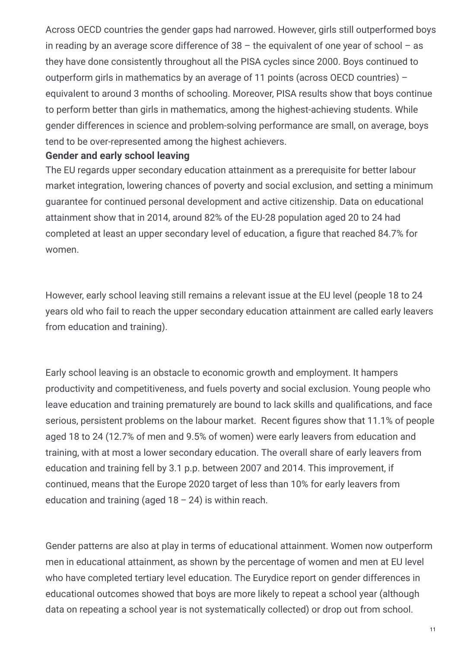Across OECD countries the gender gaps had narrowed. However, girls still outperformed boys in reading by an average score difference of  $38 -$  the equivalent of one year of school  $-$  as they have done consistently throughout all the PISA cycles since 2000. Boys continued to outperform girls in mathematics by an average of 11 points (across OECD countries) – equivalent to around 3 months of schooling. Moreover, PISA results show that boys continue to perform better than girls in mathematics, among the highest-achieving students. While gender differences in science and problem-solving performance are small, on average, boys tend to be over-represented among the highest achievers.

#### **Gender and early school leaving**

The EU regards upper secondary education attainment as a prerequisite for better labour market integration, lowering chances of poverty and social exclusion, and setting a minimum guarantee for continued personal development and active citizenship. Data on educational attainment show that in 2014, around 82% of the EU-28 population aged 20 to 24 had completed at least an upper secondary level of education, a figure that reached 84.7% for women.

However, early school leaving still remains a relevant issue at the EU level (people 18 to 24 years old who fail to reach the upper secondary education attainment are called early leavers from education and training).

Early school leaving is an obstacle to economic growth and employment. It hampers productivity and competitiveness, and fuels poverty and social exclusion. Young people who leave education and training prematurely are bound to lack skills and qualifications, and face serious, persistent problems on the labour market. Recent figures show that 11.1% of people aged 18 to 24 (12.7% of men and 9.5% of women) were early leavers from education and training, with at most a lower secondary education. The overall share of early leavers from education and training fell by 3.1 p.p. between 2007 and 2014. This improvement, if continued, means that the Europe 2020 target of less than 10% for early leavers from education and training (aged  $18 - 24$ ) is within reach.

Gender patterns are also at play in terms of educational attainment. Women now outperform men in educational attainment, as shown by the percentage of women and men at EU level who have completed tertiary level education. The Eurydice report on gender differences in educational outcomes showed that boys are more likely to repeat a school year (although data on repeating a school year is not systematically collected) or drop out from school.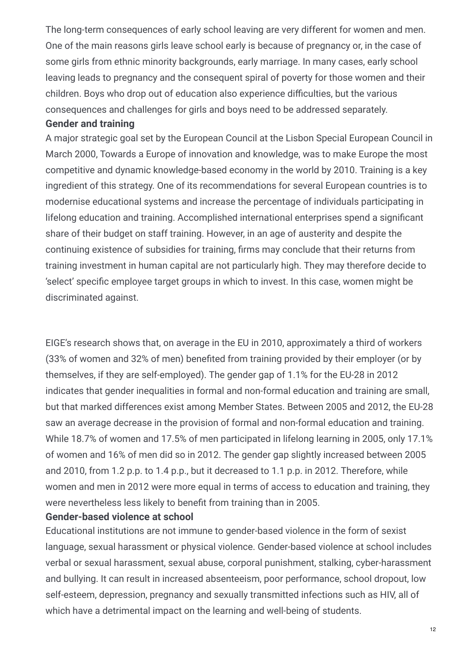The long-term consequences of early school leaving are very different for women and men. One of the main reasons girls leave school early is because of pregnancy or, in the case of some girls from ethnic minority backgrounds, early marriage. In many cases, early school leaving leads to pregnancy and the consequent spiral of poverty for those women and their children. Boys who drop out of education also experience difficulties, but the various consequences and challenges for girls and boys need to be addressed separately.

#### **Gender and training**

A major strategic goal set by the European Council at the Lisbon Special European Council in March 2000, Towards a Europe of innovation and knowledge, was to make Europe the most competitive and dynamic knowledge-based economy in the world by 2010. Training is a key ingredient of this strategy. One of its recommendations for several European countries is to modernise educational systems and increase the percentage of individuals participating in lifelong education and training. Accomplished international enterprises spend a significant share of their budget on staff training. However, in an age of austerity and despite the continuing existence of subsidies for training, firms may conclude that their returns from training investment in human capital are not particularly high. They may therefore decide to 'select' specific employee target groups in which to invest. In this case, women might be discriminated against.

EIGE's research shows that, on average in the EU in 2010, approximately a third of workers (33% of women and 32% of men) benefited from training provided by their employer (or by themselves, if they are self-employed). The gender gap of 1.1% for the EU-28 in 2012 indicates that gender inequalities in formal and non-formal education and training are small, but that marked differences exist among Member States. Between 2005 and 2012, the EU-28 saw an average decrease in the provision of formal and non-formal education and training. While 18.7% of women and 17.5% of men participated in lifelong learning in 2005, only 17.1% of women and 16% of men did so in 2012. The gender gap slightly increased between 2005 and 2010, from 1.2 p.p. to 1.4 p.p., but it decreased to 1.1 p.p. in 2012. Therefore, while women and men in 2012 were more equal in terms of access to education and training, they were nevertheless less likely to benefit from training than in 2005.

#### **Gender-based violence at school**

Educational institutions are not immune to gender-based violence in the form of sexist language, sexual harassment or physical violence. Gender-based violence at school includes verbal or sexual harassment, sexual abuse, corporal punishment, stalking, cyber-harassment and bullying. It can result in increased absenteeism, poor performance, school dropout, low self-esteem, depression, pregnancy and sexually transmitted infections such as HIV, all of which have a detrimental impact on the learning and well-being of students.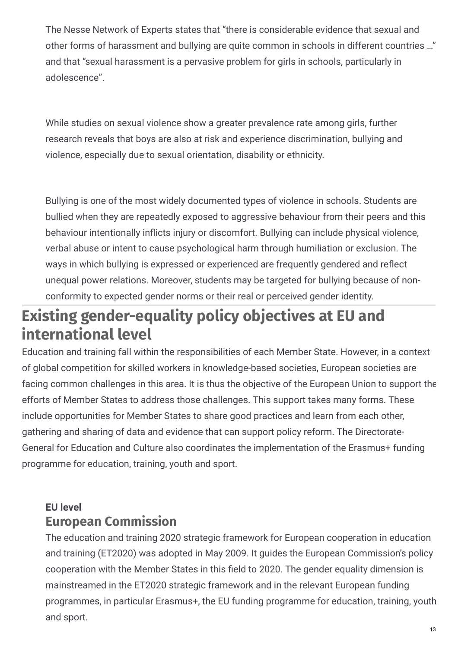The Nesse Network of Experts states that "there is considerable evidence that sexual and other forms of harassment and bullying are quite common in schools in different countries …" and that "sexual harassment is a pervasive problem for girls in schools, particularly in adolescence".

While studies on sexual violence show a greater prevalence rate among girls, further research reveals that boys are also at risk and experience discrimination, bullying and violence, especially due to sexual orientation, disability or ethnicity.

Bullying is one of the most widely documented types of violence in schools. Students are bullied when they are repeatedly exposed to aggressive behaviour from their peers and this behaviour intentionally inflicts injury or discomfort. Bullying can include physical violence, verbal abuse or intent to cause psychological harm through humiliation or exclusion. The ways in which bullying is expressed or experienced are frequently gendered and reflect unequal power relations. Moreover, students may be targeted for bullying because of nonconformity to expected gender norms or their real or perceived gender identity.

# **Existing gender-equality policy objectives at EU and international level**

Education and training fall within the responsibilities of each Member State. However, in a context of global competition for skilled workers in knowledge-based societies, European societies are facing common challenges in this area. It is thus the objective of the European Union to support the efforts of Member States to address those challenges. This support takes many forms. These include opportunities for Member States to share good practices and learn from each other, gathering and sharing of data and evidence that can support policy reform. The Directorate-General for Education and Culture also coordinates the implementation of the Erasmus+ funding programme for education, training, youth and sport.

#### **European Commission EU level**

The education and training 2020 strategic framework for European cooperation in education and training (ET2020) was adopted in May 2009. It guides the European Commission's policy cooperation with the Member States in this field to 2020. The gender equality dimension is mainstreamed in the ET2020 strategic framework and in the relevant European funding programmes, in particular Erasmus+, the EU funding programme for education, training, youth and sport.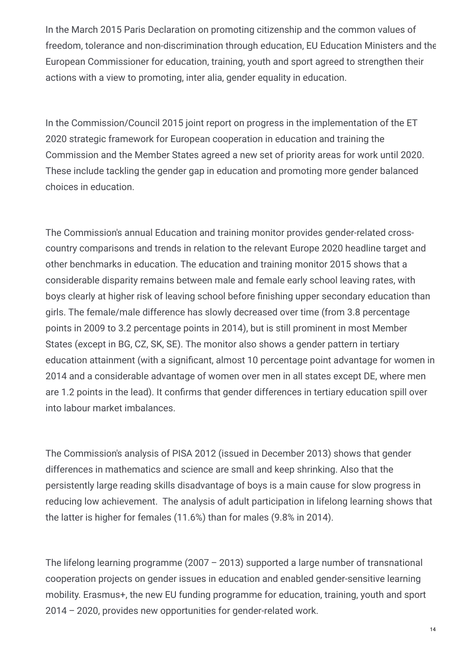In the March 2015 Paris Declaration on promoting citizenship and the common values of freedom, tolerance and non-discrimination through education, EU Education Ministers and the European Commissioner for education, training, youth and sport agreed to strengthen their actions with a view to promoting, inter alia, gender equality in education.

In the Commission/Council 2015 joint report on progress in the implementation of the ET 2020 strategic framework for European cooperation in education and training the Commission and the Member States agreed a new set of priority areas for work until 2020. These include tackling the gender gap in education and promoting more gender balanced choices in education.

The Commission's annual Education and training monitor provides gender-related crosscountry comparisons and trends in relation to the relevant Europe 2020 headline target and other benchmarks in education. The education and training monitor 2015 shows that a considerable disparity remains between male and female early school leaving rates, with boys clearly at higher risk of leaving school before finishing upper secondary education than girls. The female/male difference has slowly decreased over time (from 3.8 percentage points in 2009 to 3.2 percentage points in 2014), but is still prominent in most Member States (except in BG, CZ, SK, SE). The monitor also shows a gender pattern in tertiary education attainment (with a significant, almost 10 percentage point advantage for women in 2014 and a considerable advantage of women over men in all states except DE, where men are 1.2 points in the lead). It confirms that gender differences in tertiary education spill over into labour market imbalances.

The Commission's analysis of PISA 2012 (issued in December 2013) shows that gender differences in mathematics and science are small and keep shrinking. Also that the persistently large reading skills disadvantage of boys is a main cause for slow progress in reducing low achievement. The analysis of adult participation in lifelong learning shows that the latter is higher for females (11.6%) than for males (9.8% in 2014).

The lifelong learning programme (2007 – 2013) supported a large number of transnational cooperation projects on gender issues in education and enabled gender-sensitive learning mobility. Erasmus+, the new EU funding programme for education, training, youth and sport 2014 – 2020, provides new opportunities for gender-related work.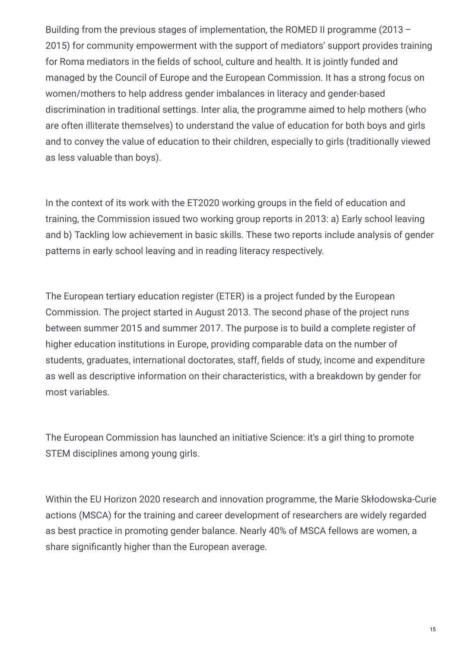Building from the previous stages of implementation, the ROMED II programme (2013 – 2015) for community empowerment with the support of mediators' support provides training for Roma mediators in the fields of school, culture and health. It is jointly funded and managed by the Council of Europe and the European Commission. It has a strong focus on women/mothers to help address gender imbalances in literacy and gender-based discrimination in traditional settings. Inter alia, the programme aimed to help mothers (who are often illiterate themselves) to understand the value of education for both boys and girls and to convey the value of education to their children, especially to girls (traditionally viewed as less valuable than boys).

In the context of its work with the ET2020 working groups in the field of education and training, the Commission issued two working group reports in 2013: a) Early school leaving and b) Tackling low achievement in basic skills. These two reports include analysis of gender patterns in early school leaving and in reading literacy respectively.

The European tertiary education register (ETER) is a project funded by the European Commission. The project started in August 2013. The second phase of the project runs between summer 2015 and summer 2017. The purpose is to build a complete register of higher education institutions in Europe, providing comparable data on the number of students, graduates, international doctorates, staff, fields of study, income and expenditure as well as descriptive information on their characteristics, with a breakdown by gender for most variables.

The European Commission has launched an initiative Science: it's a girl thing to promote STEM disciplines among young girls.

Within the EU Horizon 2020 research and innovation programme, the Marie Skłodowska-Curie actions (MSCA) for the training and career development of researchers are widely regarded as best practice in promoting gender balance. Nearly 40% of MSCA fellows are women, a share significantly higher than the European average.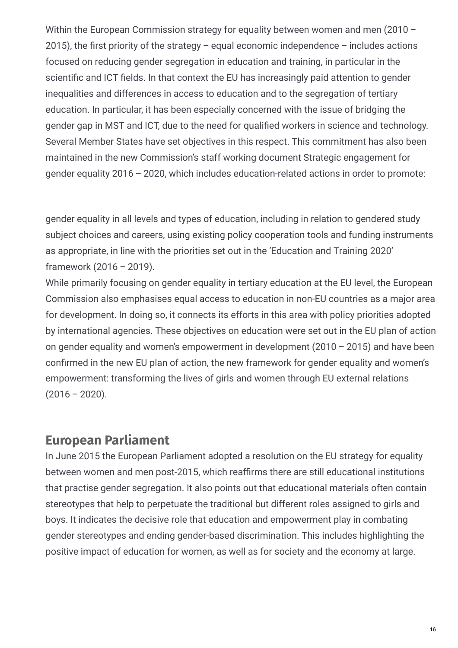Within the European Commission strategy for equality between women and men (2010 – 2015), the first priority of the strategy – equal economic independence – includes actions focused on reducing gender segregation in education and training, in particular in the scientific and ICT fields. In that context the EU has increasingly paid attention to gender inequalities and differences in access to education and to the segregation of tertiary education. In particular, it has been especially concerned with the issue of bridging the gender gap in MST and ICT, due to the need for qualified workers in science and technology. Several Member States have set objectives in this respect. This commitment has also been maintained in the new Commission's staff working document Strategic engagement for gender equality 2016 – 2020, which includes education-related actions in order to promote:

gender equality in all levels and types of education, including in relation to gendered study subject choices and careers, using existing policy cooperation tools and funding instruments as appropriate, in line with the priorities set out in the 'Education and Training 2020' framework (2016 – 2019).

While primarily focusing on gender equality in tertiary education at the EU level, the European Commission also emphasises equal access to education in non-EU countries as a major area for development. In doing so, it connects its efforts in this area with policy priorities adopted by international agencies. These objectives on education were set out in the EU plan of action on gender equality and women's empowerment in development (2010 – 2015) and have been confirmed in the new EU plan of action, the new framework for gender equality and women's empowerment: transforming the lives of girls and women through EU external relations  $(2016 - 2020)$ .

#### **European Parliament**

In June 2015 the European Parliament adopted a resolution on the EU strategy for equality between women and men post-2015, which reaffirms there are still educational institutions that practise gender segregation. It also points out that educational materials often contain stereotypes that help to perpetuate the traditional but different roles assigned to girls and boys. It indicates the decisive role that education and empowerment play in combating gender stereotypes and ending gender-based discrimination. This includes highlighting the positive impact of education for women, as well as for society and the economy at large.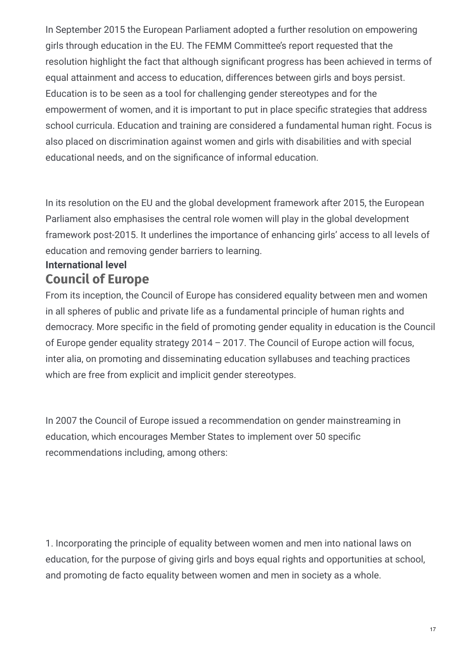In September 2015 the European Parliament adopted a further resolution on empowering girls through education in the EU. The FEMM Committee's report requested that the resolution highlight the fact that although significant progress has been achieved in terms of equal attainment and access to education, differences between girls and boys persist. Education is to be seen as a tool for challenging gender stereotypes and for the empowerment of women, and it is important to put in place specific strategies that address school curricula. Education and training are considered a fundamental human right. Focus is also placed on discrimination against women and girls with disabilities and with special educational needs, and on the significance of informal education.

In its resolution on the EU and the global development framework after 2015, the European Parliament also emphasises the central role women will play in the global development framework post-2015. It underlines the importance of enhancing girls' access to all levels of education and removing gender barriers to learning.

#### **Council of Europe International level**

From its inception, the Council of Europe has considered equality between men and women in all spheres of public and private life as a fundamental principle of human rights and democracy. More specific in the field of promoting gender equality in education is the Council of Europe gender equality strategy 2014 – 2017. The Council of Europe action will focus, inter alia, on promoting and disseminating education syllabuses and teaching practices which are free from explicit and implicit gender stereotypes.

In 2007 the Council of Europe issued a recommendation on gender mainstreaming in education, which encourages Member States to implement over 50 specific recommendations including, among others:

1. Incorporating the principle of equality between women and men into national laws on education, for the purpose of giving girls and boys equal rights and opportunities at school, and promoting de facto equality between women and men in society as a whole.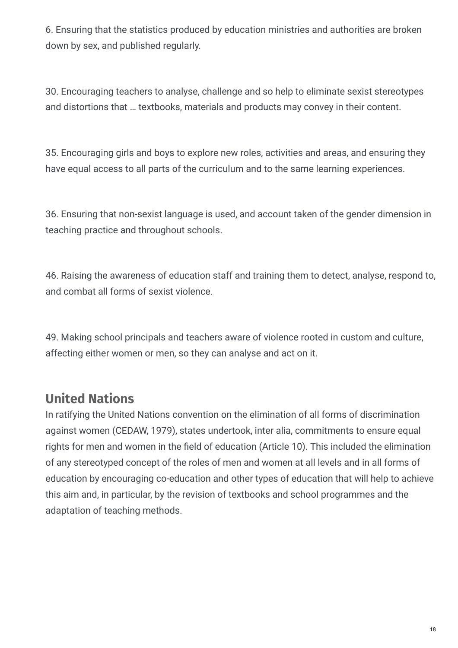6. Ensuring that the statistics produced by education ministries and authorities are broken down by sex, and published regularly.

30. Encouraging teachers to analyse, challenge and so help to eliminate sexist stereotypes and distortions that … textbooks, materials and products may convey in their content.

35. Encouraging girls and boys to explore new roles, activities and areas, and ensuring they have equal access to all parts of the curriculum and to the same learning experiences.

36. Ensuring that non-sexist language is used, and account taken of the gender dimension in teaching practice and throughout schools.

46. Raising the awareness of education staff and training them to detect, analyse, respond to, and combat all forms of sexist violence.

49. Making school principals and teachers aware of violence rooted in custom and culture, affecting either women or men, so they can analyse and act on it.

## **United Nations**

In ratifying the United Nations convention on the elimination of all forms of discrimination against women (CEDAW, 1979), states undertook, inter alia, commitments to ensure equal rights for men and women in the field of education (Article 10). This included the elimination of any stereotyped concept of the roles of men and women at all levels and in all forms of education by encouraging co-education and other types of education that will help to achieve this aim and, in particular, by the revision of textbooks and school programmes and the adaptation of teaching methods.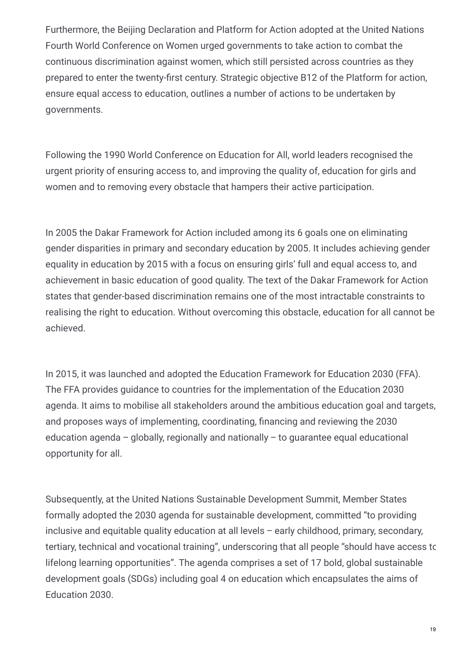Furthermore, the Beijing Declaration and Platform for Action adopted at the United Nations Fourth World Conference on Women urged governments to take action to combat the continuous discrimination against women, which still persisted across countries as they prepared to enter the twenty-first century. Strategic objective B12 of the Platform for action, ensure equal access to education, outlines a number of actions to be undertaken by governments.

Following the 1990 World Conference on Education for All, world leaders recognised the urgent priority of ensuring access to, and improving the quality of, education for girls and women and to removing every obstacle that hampers their active participation.

In 2005 the Dakar Framework for Action included among its 6 goals one on eliminating gender disparities in primary and secondary education by 2005. It includes achieving gender equality in education by 2015 with a focus on ensuring girls' full and equal access to, and achievement in basic education of good quality. The text of the Dakar Framework for Action states that gender-based discrimination remains one of the most intractable constraints to realising the right to education. Without overcoming this obstacle, education for all cannot be achieved.

In 2015, it was launched and adopted the Education Framework for Education 2030 (FFA). The FFA provides guidance to countries for the implementation of the Education 2030 agenda. It aims to mobilise all stakeholders around the ambitious education goal and targets, and proposes ways of implementing, coordinating, financing and reviewing the 2030 education agenda – globally, regionally and nationally – to guarantee equal educational opportunity for all.

Subsequently, at the United Nations Sustainable Development Summit, Member States formally adopted the 2030 agenda for sustainable development, committed "to providing inclusive and equitable quality education at all levels – early childhood, primary, secondary, tertiary, technical and vocational training", underscoring that all people "should have access to lifelong learning opportunities". The agenda comprises a set of 17 bold, global sustainable development goals (SDGs) including goal 4 on education which encapsulates the aims of Education 2030.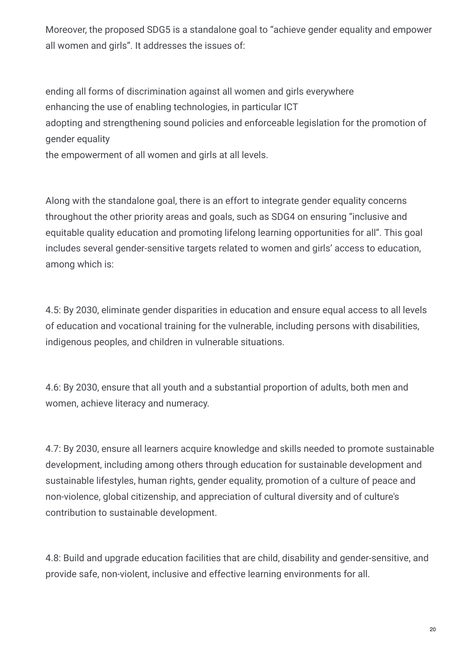Moreover, the proposed SDG5 is a standalone goal to "achieve gender equality and empower all women and girls". It addresses the issues of:

ending all forms of discrimination against all women and girls everywhere enhancing the use of enabling technologies, in particular ICT adopting and strengthening sound policies and enforceable legislation for the promotion of gender equality

the empowerment of all women and girls at all levels.

Along with the standalone goal, there is an effort to integrate gender equality concerns throughout the other priority areas and goals, such as SDG4 on ensuring "inclusive and equitable quality education and promoting lifelong learning opportunities for all". This goal includes several gender-sensitive targets related to women and girls' access to education, among which is:

4.5: By 2030, eliminate gender disparities in education and ensure equal access to all levels of education and vocational training for the vulnerable, including persons with disabilities, indigenous peoples, and children in vulnerable situations.

4.6: By 2030, ensure that all youth and a substantial proportion of adults, both men and women, achieve literacy and numeracy.

4.7: By 2030, ensure all learners acquire knowledge and skills needed to promote sustainable development, including among others through education for sustainable development and sustainable lifestyles, human rights, gender equality, promotion of a culture of peace and non-violence, global citizenship, and appreciation of cultural diversity and of culture's contribution to sustainable development.

4.8: Build and upgrade education facilities that are child, disability and gender-sensitive, and provide safe, non-violent, inclusive and effective learning environments for all.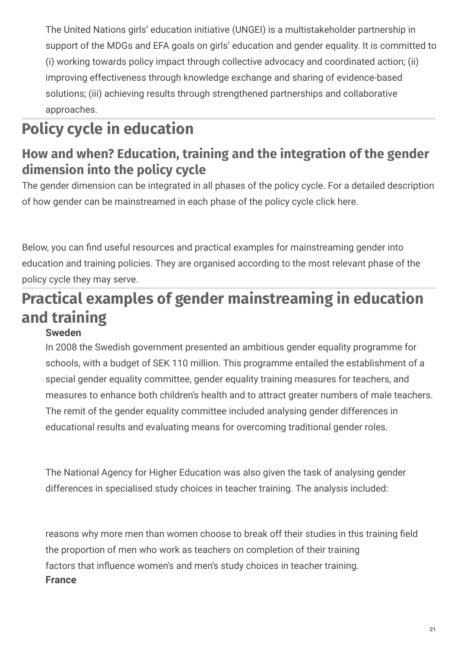The United Nations girls' education initiative (UNGEI) is a multistakeholder partnership in support of the MDGs and EFA goals on girls' education and gender equality. It is committed to (i) working towards policy impact through collective advocacy and coordinated action; (ii) improving effectiveness through knowledge exchange and sharing of evidence-based solutions; (iii) achieving results through strengthened partnerships and collaborative approaches.

# **Policy cycle in education**

## **How and when? Education, training and the integration of the gender dimension into the policy cycle**

The gender dimension can be integrated in all phases of the policy cycle. For a detailed description of how gender can be mainstreamed in each phase of the policy cycle click here.

Below, you can find useful resources and practical examples for mainstreaming gender into education and training policies. They are organised according to the most relevant phase of the policy cycle they may serve.

# **Practical examples of gender mainstreaming in education and training**

#### **Sweden**

In 2008 the Swedish government presented an ambitious gender equality programme for schools, with a budget of SEK 110 million. This programme entailed the establishment of a special gender equality committee, gender equality training measures for teachers, and measures to enhance both children's health and to attract greater numbers of male teachers. The remit of the gender equality committee included analysing gender differences in educational results and evaluating means for overcoming traditional gender roles.

The National Agency for Higher Education was also given the task of analysing gender differences in specialised study choices in teacher training. The analysis included:

reasons why more men than women choose to break off their studies in this training field the proportion of men who work as teachers on completion of their training factors that influence women's and men's study choices in teacher training. **France**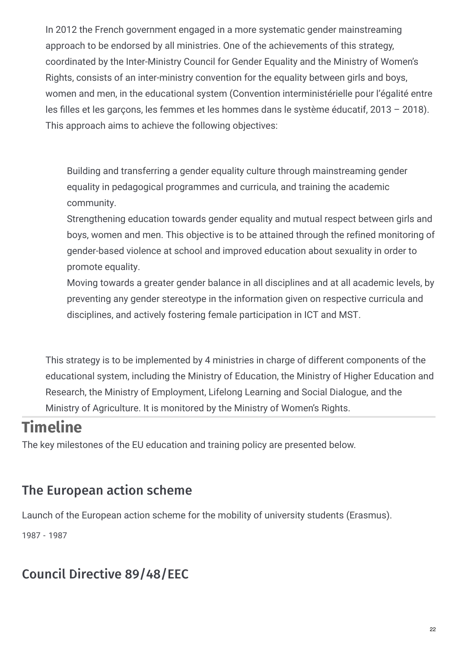In 2012 the French government engaged in a more systematic gender mainstreaming approach to be endorsed by all ministries. One of the achievements of this strategy, coordinated by the Inter-Ministry Council for Gender Equality and the Ministry of Women's Rights, consists of an inter-ministry convention for the equality between girls and boys, women and men, in the educational system (Convention interministérielle pour l'égalité entre les filles et les garçons, les femmes et les hommes dans le système éducatif, 2013 – 2018). This approach aims to achieve the following objectives:

Building and transferring a gender equality culture through mainstreaming gender equality in pedagogical programmes and curricula, and training the academic community.

Strengthening education towards gender equality and mutual respect between girls and boys, women and men. This objective is to be attained through the refined monitoring of gender-based violence at school and improved education about sexuality in order to promote equality.

Moving towards a greater gender balance in all disciplines and at all academic levels, by preventing any gender stereotype in the information given on respective curricula and disciplines, and actively fostering female participation in ICT and MST.

This strategy is to be implemented by 4 ministries in charge of different components of the educational system, including the Ministry of Education, the Ministry of Higher Education and Research, the Ministry of Employment, Lifelong Learning and Social Dialogue, and the Ministry of Agriculture. It is monitored by the Ministry of Women's Rights.

## **Timeline**

The key milestones of the EU education and training policy are presented below.

## The European action scheme

Launch of the European action scheme for the mobility of university students (Erasmus).

1987 - 1987

## Council Directive 89/48/EEC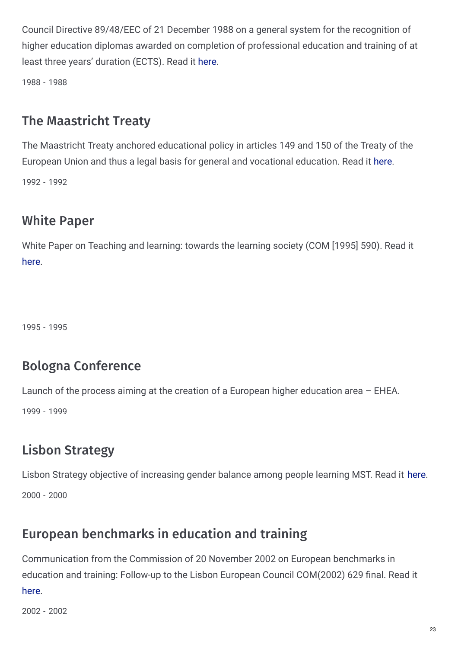Council Directive 89/48/EEC of 21 December 1988 on a general system for the recognition of higher education diplomas awarded on completion of professional education and training of at least three years' duration (ECTS). Read it [here](http://eur-lex.europa.eu/LexUriServ/LexUriServ.do?uri=CELEX:31989L0048:EN:HTML).

1988 - 1988

### The Maastricht Treaty

The Maastricht Treaty anchored educational policy in articles 149 and 150 of the Treaty of the European Union and thus a legal basis for general and vocational education. Read it [here](http://eur-lex.europa.eu/legal-content/EN/TXT/HTML/?uri=URISERV:xy0026&from=EN). 1992 - 1992

## White Paper

White Paper on Teaching and learning: towards the learning society (COM [1995] 590). Read it [here](http://europa.eu/documents/comm/white_papers/pdf/com95_590_en.pdf).

1995 - 1995

#### Bologna Conference

Launch of the process aiming at the creation of a European higher education area – EHEA.

1999 - 1999

## Lisbon Strategy

Lisbon Strategy objective of increasing gender balance among people learning MST. Read it [here](http://recwowe.vitamib.com/publications-1/webdocuments/official-european-documents/ ploneexfile.2009-08-31.9257030935/attachment_download/file). 2000 - 2000

## European benchmarks in education and training

Communication from the Commission of 20 November 2002 on European benchmarks in education and training: Follow-up to the Lisbon European Council COM(2002) 629 final. Read it [here](http://eur-lex.europa.eu/legal-content/EN/TXT/?uri=URISERV:c11064).

2002 - 2002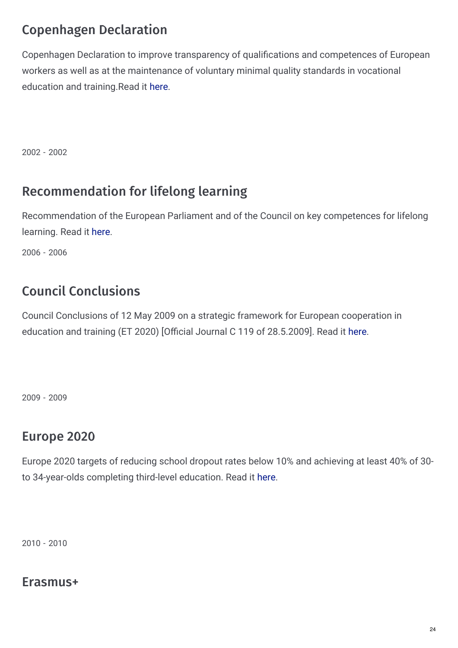## Copenhagen Declaration

Copenhagen Declaration to improve transparency of qualifications and competences of European workers as well as at the maintenance of voluntary minimal quality standards in vocational education and training.Read it [here](http://ec.europa.eu/education/copenhagen/copenahagen_declaration_en.pdf).

2002 - 2002

## Recommendation for lifelong learning

Recommendation of the European Parliament and of the Council on key competences for lifelong learning. Read it [here](http://eur-lex.europa.eu/LexUriServ/LexUriServ.do?uri=OJ:L:2006:394:0010:0018:en:PDF).

2006 - 2006

## Council Conclusions

Council Conclusions of 12 May 2009 on a strategic framework for European cooperation in education and training (ET 2020) [Official Journal C 119 of 28.5.2009]. Read it [here](http://eur-lex.europa.eu/legal-content/EN/TXT/?uri=URISERV:ef0016).

2009 - 2009

## Europe 2020

Europe 2020 targets of reducing school dropout rates below 10% and achieving at least 40% of 30 to 34-year-olds completing third-level education. Read it [here](http://ec.europa.eu/europe2020/targets/eu-targets/index_en.htm).

2010 - 2010

#### Erasmus+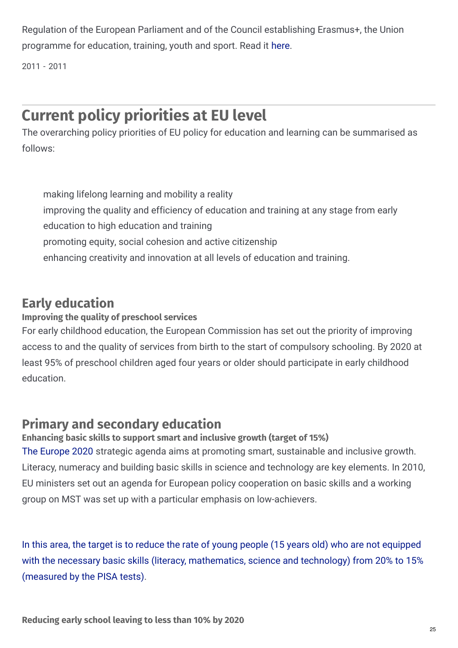Regulation of the European Parliament and of the Council establishing Erasmus+, the Union programme for education, training, youth and sport. Read it [here](http://ec.europa.eu/programmes/erasmus-plus/documents/erasmus-plus-legal-base_en.pdf).

2011 - 2011

## **Current policy priorities at EU level**

The overarching policy priorities of EU policy for education and learning can be summarised as follows:

making lifelong learning and mobility a reality improving the quality and efficiency of education and training at any stage from early education to high education and training promoting equity, social cohesion and active citizenship enhancing creativity and innovation at all levels of education and training.

#### **Early education**

#### **Improving the quality of preschool services**

For early childhood education, the European Commission has set out the priority of improving access to and the quality of services from birth to the start of compulsory schooling. By 2020 at least 95% of preschool children aged four years or older should participate in early childhood education.

### **Primary and secondary education**

#### **Enhancing basic skills to support smart and inclusive growth (target of 15%)**

The [Europe](http://eur-lex.europa.eu/LexUriServ/LexUriServ.do?uri=COM:2010:2020:FIN:EN:HTML) 2020 strategic agenda aims at promoting smart, sustainable and inclusive growth. Literacy, numeracy and building basic skills in science and technology are key elements. In 2010, EU ministers set out an agenda for European policy cooperation on basic skills and a working group on MST was set up with a particular emphasis on low-achievers.

In this area, the target is to reduce the rate of young people (15 years old) who are not equipped with the necessary basic skills (literacy, [mathematics,](http://www.oecd.org/pisa/pisaproducts/PIF-2014-gender-international-version.pdf) science and technology) from 20% to 15% (measured by the PISA tests).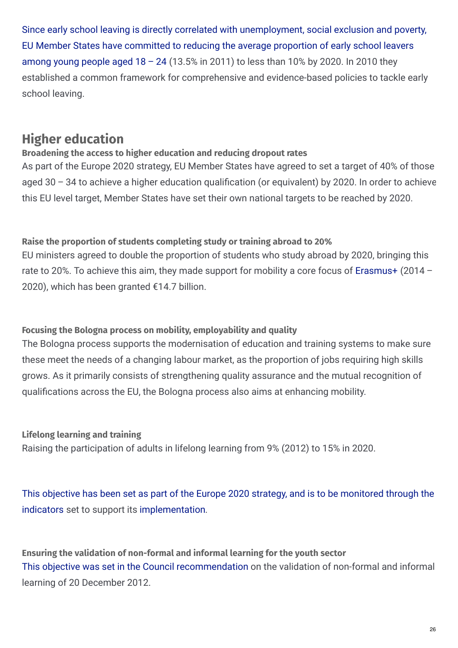Since early school leaving is directly correlated with [unemployment,](https://ec.europa.eu/eurostat/statistics-explained/index.php/Early_leavers_from_education_and_training) social exclusion and poverty, EU Member States have committed to reducing the average proportion of early school leavers among young people aged  $18 - 24$  (13.5% in 2011) to less than 10% by 2020. In 2010 they established a common framework for comprehensive and evidence-based policies to tackle early school leaving.

### **Higher education**

#### **Broadening the access to higher education and reducing dropout rates**

As part of the Europe 2020 strategy, EU Member States have agreed to set a target of 40% of those aged  $30 - 34$  to achieve a higher education qualification (or equivalent) by 2020. In order to achieve this EU level target, Member States have set their own national targets to be reached by 2020.

#### **Raise the proportion of students completing study or training abroad to 20%**

EU ministers agreed to double the proportion of students who study abroad by 2020, bringing this rate to 20%. To achieve this aim, they made support for mobility a core focus of [Erasmus+](http://ec.europa.eu/programmes/erasmus-plus/index_en.htm) (2014 – 2020), which has been granted €14.7 billion.

#### **Focusing the Bologna process on mobility, employability and quality**

The Bologna process supports the modernisation of education and training systems to make sure these meet the needs of a changing labour market, as the proportion of jobs requiring high skills grows. As it primarily consists of strengthening quality assurance and the mutual recognition of qualifications across the EU, the Bologna process also aims at enhancing mobility.

**Lifelong learning and training**

Raising the participation of adults in lifelong learning from 9% (2012) to 15% in 2020.

This objective has been set as part of the Europe 2020 strategy, and is to be monitored through the indicators set to support its [implementation.](https://ec.europa.eu/eurostat/statistics-explained/index.php?title=Archive:Smarter,_greener,_more_inclusive_-_indicators_to_support_the_Europe_2020_strategy)

**Ensuring the validation of non-formal and informal learning for the youth sector** This objective was set in the Council [recommendation](https://eur-lex.europa.eu/LexUriServ/LexUriServ.do?uri=OJ:C:2012:398:0001:0005:EN:PDF) on the validation of non-formal and informal learning of 20 December 2012.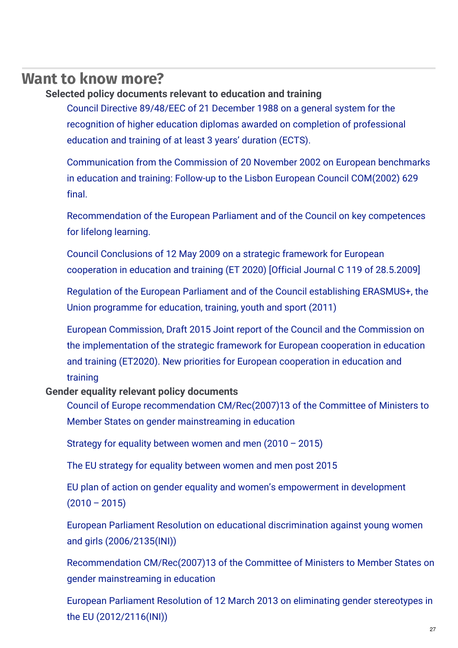### **Want to know more?**

#### **Selected policy documents relevant to education and training**

Council Directive 89/48/EEC of 21 December 1988 on a general system for the recognition of higher education diplomas awarded on completion of [professional](http://eur-lex.europa.eu/LexUriServ/LexUriServ.do?uri=CELEX%3A31989L0048%3AEN%3AHTML) education and training of at least 3 years' duration (ECTS).

[Communication](http://europa.eu/legislation_summaries/education_training_youth/general_framework/c11064_en.htm) from the Commission of 20 November 2002 on European benchmarks in education and training: Follow-up to the Lisbon European Council COM(2002) 629 final.

[Recommendation](http://eur-lex.europa.eu/LexUriServ/LexUriServ.do?uri=OJ%3AL%3A2006%3A394%3A0010%3A0018%3Aen%3APDF) of the European Parliament and of the Council on key competences for lifelong learning.

Council [Conclusions](https://www.google.fr/url?sa=t&rct=j&q=&esrc=s&source=web&cd=3&cad=rja&ved=0CD8QFjAC&url=http%3A//europa.eu/legislation_summaries/education_training_youth/general_framework/ef0016_en.htm&ei=DeroUonYKeP1ygPH8oGQCw&usg=AFQjCNG9qMSn8FKj6y2-OckPsZITRZo5gQ&bvm=bv.60157871%2Cd.bGQ) of 12 May 2009 on a strategic framework for European cooperation in education and training (ET 2020) [Official Journal C 119 of 28.5.2009]

Regulation of the European Parliament and of the Council [establishing](https://eur-lex.europa.eu/legal-content/EN/TXT/?uri=CELEX%3A32013R1288) ERASMUS+, the Union programme for education, training, youth and sport (2011)

European Commission, Draft 2015 Joint report of the Council and the Commission on the [implementation](https://ec.europa.eu/assets/eac/education/documents/et-2020-draft-joint-report-408-2015_en.pdf) of the strategic framework for European cooperation in education and training (ET2020). New priorities for European cooperation in education and training

#### **Gender equality relevant policy documents**

Council of Europe recommendation [CM/Rec\(2007\)13](https://wcd.coe.int/ViewDoc.jsp?id=1194631&Site=COE) of the Committee of Ministers to Member States on gender mainstreaming in education

Strategy for equality [between](http://ec.europa.eu/justice/gender-equality/files/strategy_equality_women_men_en.pdf) women and men (2010 – 2015)

The EU strategy for equality [between](http://www.europarl.europa.eu/sides/getDoc.do?pubRef=-//EP//NONSGML TA P8-TA-2015-0218 0 DOC PDF V0//EN) women and men post 2015

EU plan of action on gender equality and women's [empowerment](http://register.consilium.europa.eu/doc/srv?l=EN&f=ST 7261 2010 INIT) in development  $(2010 - 2015)$ 

European Parliament Resolution on educational discrimination against young women and girls [\(2006/2135\(INI\)\)](http://www.europarl.europa.eu/sides/getDoc.do?pubRef=-//EP//NONSGML TA P6-TA-2007-0021 0 DOC PDF V0//EN)

[Recommendation](https://wcd.coe.int/ViewDoc.jsp?id=1194631&Site=CM) CM/Rec(2007)13 of the Committee of Ministers to Member States on gender mainstreaming in education

European Parliament Resolution of 12 March 2013 on eliminating gender stereotypes in the EU [\(2012/2116\(INI\)\)](http://www.europarl.europa.eu/sides/getDoc.do?pubRef=-//EP//NONSGML TA P7-TA-2013-0074 0 DOC PDF V0//EN)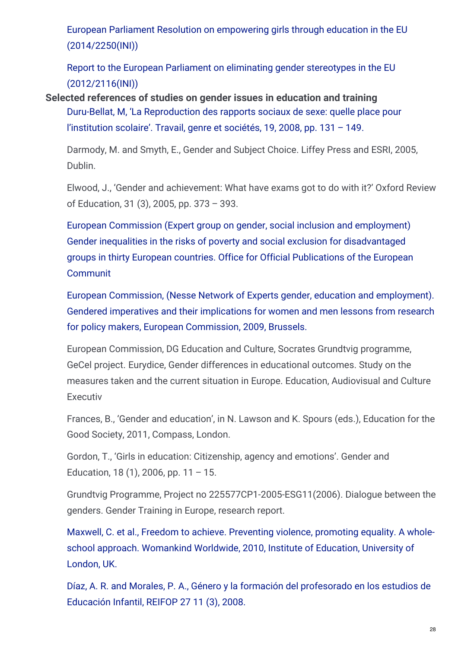European Parliament Resolution on empowering girls through education in the EU [\(2014/2250\(INI\)\)](http://www.europarl.europa.eu/sides/getDoc.do?pubRef=-//EP//NONSGML%2BCOMPARL%2BPE-554.814%2B01%2BDOC%2BPDF%2BV0//EN)

Report to the European Parliament on eliminating gender stereotypes in the EU [\(2012/2116\(INI\)\)](http://www.europarl.europa.eu/sides/getDoc.do?pubRef=-//EP//NONSGML REPORT A7-2012-0401 0 DOC PDF V0//EN)

**Selected references of studies on gender issues in education and training** Duru-Bellat, M, 'La [Reproduction](http://www.cairn.info/revue-travail-genre-et-societes-2008-1-page-131.htm) des rapports sociaux de sexe: quelle place pour l'institution scolaire'. Travail, genre et sociétés, 19, 2008, pp. 131 – 149.

Darmody, M. and Smyth, E., Gender and Subject Choice. Liffey Press and ESRI, 2005, Dublin.

Elwood, J., 'Gender and achievement: What have exams got to do with it?' Oxford Review of Education, 31 (3), 2005, pp. 373 – 393.

European Commission (Expert group on gender, social inclusion and employment) Gender inequalities in the risks of poverty and social exclusion for [disadvantaged](https://www.escholar.manchester.ac.uk/api/datastream?publicationPid=uk-ac-man-scw%3A5b151&datastreamId=FULL-TEXT.PDF) groups in thirty European countries. Office for Official Publications of the European Communit

European Commission, (Nesse Network of Experts gender, education and [employment\).](http://www.nesse.fr/nesse/activities/reports/activities/reports/gender-report-pdf) Gendered imperatives and their implications for women and men lessons from research for policy makers, European Commission, 2009, Brussels.

European Commission, DG Education and Culture, Socrates Grundtvig programme, GeCel project. Eurydice, Gender differences in educational outcomes. Study on the measures taken and the current situation in Europe. Education, Audiovisual and Culture Executiv

Frances, B., 'Gender and education', in N. Lawson and K. Spours (eds.), Education for the Good Society, 2011, Compass, London.

Gordon, T., 'Girls in education: Citizenship, agency and emotions'. Gender and Education, 18 (1), 2006, pp.  $11 - 15$ .

Grundtvig Programme, Project no 225577CP1-2005-ESG11(2006). Dialogue between the genders. Gender Training in Europe, research report.

Maxwell, C. et al., Freedom to achieve. Preventing violence, promoting equality. A wholeschool approach. [Womankind](https://www.academia.edu/1397008/Preventing_violence_promoting_equality_a_whole_school_approach) Worldwide, 2010, Institute of Education, University of London, UK.

Díaz, A. R. and Morales, P. A., Género y la formación del [profesorado](https://www.researchgate.net/publication/47868518_Genero_y_la_formacion_del_profesorado_en_los_estudios_de_Educacion_Infantil) en los estudios de Educación Infantil, REIFOP 27 11 (3), 2008.